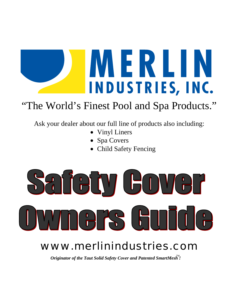

## "The World's Finest Pool and Spa Products."

Ask your dealer about our full line of products also including:

- Vinyl Liners
- Spa Covers
- Child Safety Fencing



# www.merlinindustries.com

*Originator of the Taut Solid Safety Cover and Patented SmartMesh<sup>™</sup>!*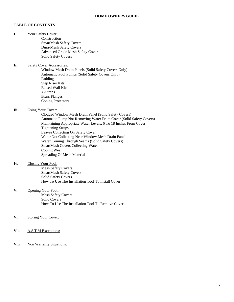### **TABLE OF CONTENTS**

**I.** Your Safety Cover:

Construction SmartMesh Safety Covers Dura-Mesh Safety Covers Advanced Grade Mesh Safety Covers Solid Safety Covers

- **Ii**. Safety Cover Accessories:
	- Window Mesh Drain Panels (Solid Safety Covers Only) Automatic Pool Pumps (Solid Safety Covers Only) Padding Step Riser Kits Raised Wall Kits Y-Straps Brass Flanges Coping Protectors

#### **Iii.** Using Your Cover:

Clogged Window Mesh Drain Panel (Solid Safety Covers) Automatic Pump Not Removing Water From Cover (Solid Safety Covers) Maintaining Appropriate Water Levels, 6 To 18 Inches From Cover. Tightening Straps Leaves Collecting On Safety Cover Water Not Collecting Near Window Mesh Drain Panel Water Coming Through Seams (Solid Safety Covers) SmartMesh Covers Collecting Water Coping Wear Spreading Of Mesh Material

#### **Iv**. Closing Your Pool:

Mesh Safety Covers SmartMesh Safety Covers Solid Safety Covers How To Use The Installation Tool To Install Cover

#### **V.** Opening Your Pool:

Mesh Safety Covers Solid Covers How To Use The Installation Tool To Remove Cover

- **Vi.** Storing Your Cover:
- **Vii.** A.S.T.M Exceptions:
- Viii. Non Warranty Situations: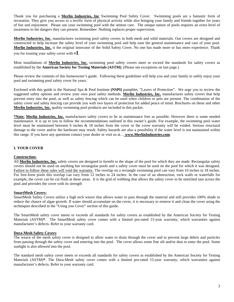Thank you for purchasing a **Merlin Industries, Inc** Swimming Pool Safety Cover. Swimming pools are a fantastic form of recreation. They give you access to a terrific form of physical activity while also bringing your family and friends together for years of fun and enjoyment. Please use your swimming pool with the utmost care. The unique nature of pools requires an extra level of awareness to the dangers they can present. Remember: Nothing replaces proper supervision.

**Merlin Industries, Inc.** manufactures swimming pool safety covers in both mesh and solid materials. Our covers are designed and constructed to help increase the safety level of your swimming pool and help ease the general maintenance and care of your pool. **Merlin Industries, Inc.** is the original innovator of the Solid Safety Cover. No one has made more or has more experience. Thank you for trusting your safety cover with #**1**.

Most installations of **Merlin Industries, Inc.** swimming pool safety covers meet or exceed the standards for safety covers as established by the **American Society for Testing Materials (ASTM).** (Please see exceptions on last page.)

Please review the contents of this homeowner's guide. Following these guidelines will help you and your family to safely enjoy your pool and swimming pool safety cover for years.

Enclosed with this guide is the National Spa & Pool Institute **(NSPI)** pamphlet, "Layers of Protection". We urge you to review the suggested safety options and review your own pool safety methods. **Merlin Industries, Inc.** manufactures safety covers that help prevent entry into the pool, as well as safety fencing which can be used when children or pets are present. The combination of the safety cover and safety fencing can provide you with two layers of protection for added peace of mind. Brochures on these and other **Merlin Industries, Inc.** quality swimming pool products are included in this packet.

**\*Note: Merlin Industries, Inc.** manufactures safety covers to be as maintenance free as possible. However there is some needed maintenance. It is up to you to follow the recommendations outlined in this owner's guide. For example, the swimming pool water level must be maintained between 6 inches & 18 inches from the cover or the cover warranty will be voided. Serious structural damage to the cover and/or the hardware may result. Safety hazards are also a possibility if the water level is not maintained within this range. If you have any questions contact your dealer or visit us at… **www.MerlinIndustries.com**.

## **I. YOUR COVER**

## **Construction:**

All **Merlin Industries, Inc.** safety covers are designed to formfit to the shape of the pool for which they are made. Rectangular safety covers should not be used on anything but rectangular pools and a safety cover must be used on the pool for which it was designed. Failure to follow these rules will void the warranty. The overlap on a rectangle swimming pool can vary from 10 inches to 18 inches. For free-form pools this overlap can vary from 12 inches to 24 inches. In the case of an obstruction, rock walls or waterfalls for example, the cover can be cut flush at these areas. It is the grid of webbing that allows the safety cover to be stretched taut across the pool and provides the cover with its strength

#### **SmartMesh Covers:**

SmartMesh Safety Covers utilize a high tech weave that allows water to pass through the material and still provides 100% shade to reduce the chance of algae growth. If water should accumulate on the cover, it is necessary to remove it and clean the cover using the techniques described in the "Using you Cover" section of this guide.

The SmartMesh safety cover meets or exceeds all standards for safety covers as established by the American Society for Testing Materials (ASTM)**\***. The SmartMesh safety cover comes with a limited pro-rated 15-year warranty, which warranties against manufacturer's defects. Refer to your warranty card.

## **Dura-Mesh Safety Covers**:

The weave of the mesh safety cover is designed to allow water to drain through the cover and to prevent large debris and particles from passing through the safety cover and entering into the pool. The cover allows some fine silt and/or dust to enter the pool. Some sunlight is also allowed into the pool.

The standard mesh safety cover meets or exceeds all standards for safety covers as established by the American Society for Testing Materials (ASTM)**\***. The Dura-Mesh safety cover comes with a limited pro-rated 15-year warranty, which warranties against manufacturer's defects. Refer to your warranty card.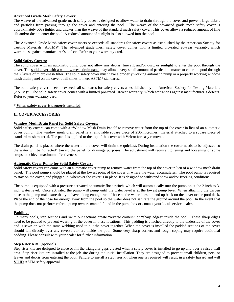#### **Advanced Grade Mesh Safety Covers:**

The weave of the advanced grade mesh safety cover is designed to allow water to drain through the cover and prevent large debris and particles from passing through the cover and entering the pool. The weave of the advanced grade mesh safety cover is approximately 50% tighter and thicker than the weave of the standard mesh safety cover. This cover allows a reduced amount of fine silt and/or dust to enter the pool. A reduced amount of sunlight is also allowed into the pool.

The Advanced Grade Mesh safety cover meets or exceeds all standards for safety covers as established by the American Society for Testing Materials (ASTM)**\***. The advanced grade mesh safety cover comes with a limited pro-rated 20-year warranty, which warranties against manufacturer's defects. Refer to your warranty card.

#### **Solid Safety Covers:**

The solid cover with an automatic pump does not allow any debris, fine silt and/or dust, or sunlight to enter the pool through the cover. The solid cover with a window mesh drain panel may allow a very small amount of particulate matter to enter the pool through the 2 layers of micro-mesh filter. The solid safety cover must have a properly working automatic pump or a properly working window mesh drain panel on the cover at all times to meet ASTM\* standards.

The solid safety cover meets or exceeds all standards for safety covers as established by the American Society for Testing Materials (ASTM)**\***. The solid safety cover comes with a limited pro-rated 10-year warranty, which warranties against manufacturer's defects. Refer to your warranty card.

#### **\* When safety cover is properly installed**

#### **II. COVER ACCESSORIES**

#### **Window Mesh Drain Panel for Solid Safety Covers:**

Solid safety covers can come with a "Window Mesh Drain Panel" to remove water from the top of the cover in lieu of an automatic cover pump. The window mesh drain panel is a removable square piece of 250-micromesh material attached to a square piece of standard mesh material. The panel is applied to the top of the cover with Velcro for easy removal.

The drain panel is placed where the water on the cover will drain the quickest. During installation the cover needs to be adjusted so the water will be "directed" toward the panel for drainage purposes. The adjustment will require tightening and loosening of some straps to achieve maximum effectiveness.

#### **Automatic Cover Pump for Solid Safety Covers:**

Solid safety covers can come with an automatic cover pump to remove water from the top of the cover in lieu of a window mesh drain panel. The pool pump should be placed at the lowest point of the cover or where the water accumulates. The pool pump is required to stay on the cover, and plugged in, whenever the cover is in place. It is designed to withstand snow and/or freezing conditions.

The pump is equipped with a pressure activated pneumatic float switch, which will automatically turn the pump on at the 2 inch to 3 inch water level. Once activated the pump will pump until the water level is at the lowest pump level. When attaching the garden hose to the pump make sure that you have a long enough run of hose so the water does not end up back on the cover or the pool deck. Place the end of the hose far enough away from the pool so the water does not saturate the ground around the pool. In the event that the pump does not perform refer to pump owners manual found in the pump box or contact your local service dealer.

## **Padding:**

On many pools, step sections and swim out sections create "reverse corners" or "sharp edges" inside the pool. These sharp edges need to be padded to prevent wearing of the cover in these locations. This padding is attached directly to the underside of the cover and is sewn on with the same webbing used to put the cover together. When the cover is installed the padded sections of the cover should fall directly over any reverse corners inside the pool. Some very sharp corners and rough coping may require additional padding. Please consult with your dealer for further information

#### **Step Riser Kits:** (optional)

Step riser kits are designed to close or fill the triangular gaps created when a safety cover is installed to go up and over a raised wall area. Step riser kits are installed at the job site during the initial installation. They are designed to prevent small children, pets, or leaves and debris from entering the pool. Failure to install a step riser kit when one is required will result in a safety hazard and will **VOID** ASTM safety approval.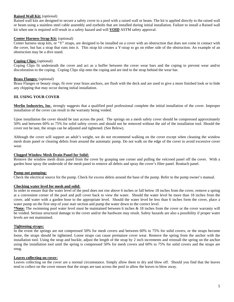#### **Raised Wall Kit:** (optional)

Raised wall kits are designed to secure a safety cover to a pool with a raised wall or beam. The kit is applied directly to the raised wall or beam using a stainless steel cable assembly and eyebolts that are installed during initial installation. Failure to install a Raised wall kit when one is required will result in a safety hazard and will **VOID** ASTM safety approval.

#### **Center Harness Strap Kit:** (optional)

Center harness strap kits, or "Y" straps, are designed to be installed on a cover with an obstruction that does not come in contact with the cover, but has a strap that runs into it. This strap kit creates a Y-strap to go on either side of the obstruction. An example of an obstruction may be a dive stand.

#### **Coping Clips:** (optional)

Coping Clips fit underneath the cover and act as a buffer between the cover wear bars and the coping to prevent wear and/or discoloration to the coping. Coping Clips slip onto the coping and are tied to the strap behind the wear bar.

#### **Brass Flanges:** (optional)

Brass Flanges or beauty rings, fit over your brass anchors, are flush with the deck and are used to give a more finished look or to hide any chipping that may occur during initial installation.

#### **III. USING YOUR COVER**

**Merlin Industries, Inc.** strongly suggests that a qualified pool professional complete the initial installation of the cover. Improper installation of the cover can result in the warranty being voided.

Upon installation the cover should be taut across the pool. The springs on a mesh safety cover should be compressed approximately 50% and between 60% to 75% for solid safety covers and should not be removed without the aid of the installation tool. Should the cover not be taut, the straps can be adjusted and tightened. (See Below).

Although the cover will support an adult's weight, we do not recommend walking on the cover except when cleaning the window mesh drain panel or clearing debris from around the automatic pump. Do not walk on the edge of the cover to avoid excessive cover wear.

#### **Clogged Window Mesh Drain Panel for Solid:**

Remove the window mesh drain panel from the cover by grasping one corner and pulling the velcroed panel off the cover. With a garden hose spray the underside of the mesh panel to remove all debris and spray the cover's filter panel. Reattach panel.

#### **Pump not pumping:**

Check the electrical source for the pump. Check for excess debris around the base of the pump. Refer to the pump owner's manual.

#### **Checking water level for mesh and solid:**

In order to ensure that the water level of the pool does not rise above 6 inches or fall below 18 inches from the cover, remove a spring at a convenient corner of the pool and pull cover back to view the water. Should the water level be more than 18 inches from the cover, add water with a garden hose to the appropriate level. Should the water level be less than 6 inches form the cover, place a water pump on the first step of your stair section and pump the water down to the correct level.

**\*Note:** The swimming pool water level must be maintained between 6 inches & 18 inches from the cover or the cover warranty will be voided. Serious structural damage to the cover and/or the hardware may result. Safety hazards are also a possibility if proper water levels are not maintained.

#### **Tightening straps:**

In the event the springs are not compressed 50% for mesh covers and between 60% to 75% for solid covers, or the straps become loose, the straps should be tightened. Loose straps can cause premature cover wear. Remove the spring from the anchor with the installation tool. Using the strap and buckle, adjust the length of the strap by 2 inch increments and reinstall the spring on the anchor using the installation tool until the spring is compressed 50% for mesh covers and 60% to 75% for solid covers and the straps are snug.

#### **Leaves collecting on cover:**

Leaves collecting on the cover are a normal circumstance. Simply allow them to dry and blow off. Should you find that the leaves tend to collect on the cover ensure that the straps are taut across the pool to allow the leaves to blow away.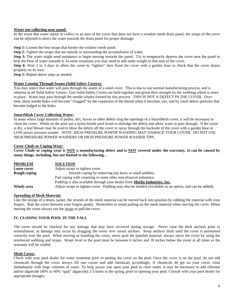#### **Water not collecting near panel:**

In the event that water seems to collect in an area of the cover that does not have a window mesh drain panel, the straps of the cover can be adjusted to direct the water towards the drain panel for proper drainage.

**Step 1:** Loosen the four straps that border the window mesh panel.

**Step 2:** Tighten the straps that are outside or surrounding the accumulation of water.

**Step 3:** The water might need assistance to begin moving towards the panel. Try to temporarily depress the cover near the panel to help the flow of water towards it. In some situations you may need to add some weight to that area of the cover.

**Step 4:** Wait 2 to 3 days to allow the cover to "tighten" then flood the cover with a garden hose to check that the cover drains properly on its own.

**Step 5:** Repeat above steps as needed.

#### **Water Coming Through Seams (Solid Safety Covers):**

You may notice that water will pass through the seams of a solid cover. This is due to our normal manufacturing process, and is inherent in all Solid Safety Covers. Taut Solid Safety Covers are held together and given their strength by the webbing which is sewn in place. Water may pass through the needle wholes formed by this process. THIS IS NOT A DEFECT IN THE COVER. Over time, these needle holes will become "clogged" by the expansion of the thread when it becomes wet, and by small debris particles that become lodged in the holes.

#### **SmartMesh Cover Collecting Water:**

In areas where large amounts of pollen, dirt, leaves or other debris clog the openings of a SmartMesh cover, it will be necessary to clean the cover. While on the pool use a nylon bristle pool brush to dislodge the debris and allow water to pass through. If the cover is dry, a leaf blower may be used to blow the debris off the cover or spray through the backside of the cover with a garden hose or LOW power pressure washer. NOTE: HIGH PRESSURE POWER WASHING MAY DAMAGE YOUR COVER. DO NOT USE HIGH PRESSURE POWER WASHERS OR HIGH PRESSURE POWER WASHER TIPS.

#### **Cover Chafe or Coping Wear:**

**Cover Chafe or coping wear is NOT a manufacturing defect and is NOT covered under the warranty. It can be caused by many things**, **including, but not limited to the following…**

| <b>PROBLEM</b> | <b>SOLUTION</b>                                                                                        |
|----------------|--------------------------------------------------------------------------------------------------------|
| Loose cover    | Adjust straps to tighten cover.                                                                        |
| Rough coping   | Smooth coping by removing any burrs or small pebbles.                                                  |
|                | Pad coping with carpeting or some other non-abrasive substance.                                        |
|                | Padding is also available through your dealer from Merlin Industries, Inc.                             |
| Windy area     | Adjust straps to tighten cover. Padding may also be needed (Available as an option, and can be added). |

#### **Spreading of Mesh Material:**

Like the strings of a tennis racket, the strands of the mesh material can be moved back into position by rubbing the material with your fingers. Rub the cover between your fingers gently. Remember to avoid pulling on the mesh material when moving the cover. When moving the cover always use the straps to pull the cover.

#### **IV. CLOSING YOUR POOL IN THE FALL**

The cover should be checked for any damage that may have occurred during storage. Never raise the deck anchors prior to reinstallation, as damage may occur by dragging the cover over raised anchors. Keep anchors flush until the cover is positioned correctly over the pool. When moving or handling the cover, never grab the paneled material; always move the cover by using the reinforced webbing and straps. Water level in the pool must be between 6 inches and 18 inches below the cover at all times or the warranty will be voided.

#### **Mesh Cover:**

Check with your pool dealer for water treatment prior to putting the cover on the pool. Once the cover is on the pool, do not add chemicals through the cover always lift one corner and add chemicals accordingly. If chemicals do get on your cover, rinse immediately with large volumes of water. To help assure you open your pool to clear water, it may be necessary to add chlorine and/or algaecide (40% to 60% "quat" algaecide) 2-3 times in the spring, prior to opening your pool. Consult with your pool dealer for appropriate dosages.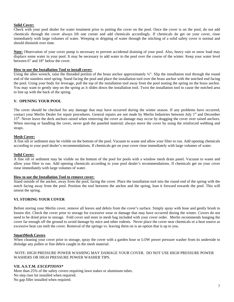## **Solid Cover:**

Check with your pool dealer for water treatment prior to putting the cover on the pool. Once the cover is on the pool, do not add chemicals through the cover always lift one corner and add chemicals accordingly. If chemicals do get on your cover, rinse immediately with large volumes of water. Weeping or dripping of water through the stitching of a solid safety cover is normal and should diminish over time.

**Note:** Observation of your cover pump is necessary to prevent accidental draining of your pool. Also, heavy rain or snow load may displace some water in your pool. It may be necessary to add water to the pool over the course of the winter. Keep your water level between 6" and 18" below the cover.

## **How to use the Installation Tool to install cover:**

Using the allen wrench, raise the threaded portion of the brass anchor approximately ¼". Slip the installation tool through the round end of the stainless steel spring. Stand facing the pool and place the installation tool over the brass anchor with the notched end facing the pool. Using your body for leverage, pull the top of the installation tool away from the pool seating the spring on the brass anchor. You may want to gently step on the spring as it slides down the installation tool. Twist the installation tool to cause the notched area to line up with the back of the spring.

## **V. OPENING YOUR POOL**

The cover should be checked for any damage that may have occurred during the winter season. If any problems have occurred, contact your Merlin Dealer for repair procedures. General repairs are not made by Merlin Industries between July 1<sup>st</sup> and December 15<sup>th</sup>. Never leave the deck anchors raised when removing the cover as damage may occur by dragging the cover over raised anchors. When moving or handling the cover, never grab the paneled material; always move the cover by using the reinforced webbing and straps.

#### **Mesh Cover:**

A fine silt or sediment may be visible on the bottom of the pool. Vacuum to waste and allow your filter to run. Add opening chemicals according to your pool dealer's recommendations. If chemicals get on your cover rinse immediately with large volumes of water.

#### **Solid Cover:**

A fine silt or sediment may be visible on the bottom of the pool for pools with a window mesh drain panel. Vacuum to waste and allow your filter to run. Add opening chemicals according to your pool dealer's recommendations. If chemicals get on your cover rinse immediately with large volumes of water.

#### **How to use the Installation Tool to remove cover:**

Stand outside of the anchor, away from the pool, facing the cover. Place the installation tool into the round end of the spring with the notch facing away from the pool. Position the tool between the anchor and the spring, lean it forward towards the pool. This will unseat the spring.

#### **VI. STORING YOUR COVER**

Before storing your Merlin cover, remove all leaves and debris from the cover's surface. Simply spray with hose and gently brush to loosen dirt. Check the cover prior to storage for excessive wear or damage that may have occurred during the winter. Covers do not need to be dried prior to storage. Fold cover and store in mesh bag included with your cover order. Merlin recommends hanging the cover far enough off the ground to avoid damage by mice and other rodents. Never place the cover near chemicals or a heat source as excessive heat can melt the cover. Removal of the springs vs. leaving them on is an option that is up to you.

#### **SmartMesh Covers**

When cleaning your cover prior to storage, spray the cover with a garden hose or LOW power pressure washer from its underside to dislodge any pollen or fine debris caught in the mesh material.

## NOTE: HIGH PRESSURE POWER WASHING MAY DAMAGE YOUR COVER. DO NOT USE HIGH PRESSURE POWER WASHERS OR HIGH PRESSURE POWER WASHER TIPS.

## **VII. A.S.T.M***. EXCEPTIONS\**

More than 25% of the safety covers requiring lawn stakes or aluminum tubes. No step riser kit installed when required. No gap filler installed when required.